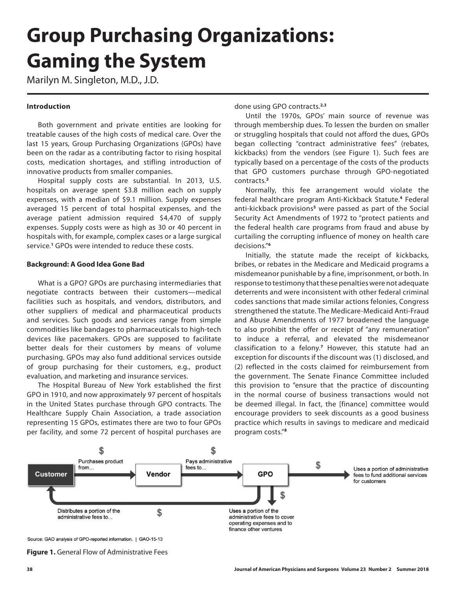# **Group Purchasing Organizations: Gaming the System**

Marilyn M. Singleton, M.D., J.D.

# **Introduction**

Both government and private entities are looking for treatable causes of the high costs of medical care. Over the last 15 years, Group Purchasing Organizations (GPOs) have been on the radar as a contributing factor to rising hospital costs, medication shortages, and stifling introduction of innovative products from smaller companies.

Hospital supply costs are substantial. In 2013, U.S. hospitals on average spent \$3.8 million each on supply expenses, with a median of \$9.1 million. Supply expenses averaged 15 percent of total hospital expenses, and the average patient admission required \$4,470 of supply expenses. Supply costs were as high as 30 or 40 percent in hospitals with, for example, complex cases or a large surgical service.**<sup>1</sup>** GPOs were intended to reduce these costs.

## **Background: A Good Idea Gone Bad**

What is a GPO? GPOs are purchasing intermediaries that negotiate contracts between their customers—medical facilities such as hospitals, and vendors, distributors, and other suppliers of medical and pharmaceutical products and services. Such goods and services range from simple commodities like bandages to pharmaceuticals to high-tech devices like pacemakers. GPOs are supposed to facilitate better deals for their customers by means of volume purchasing. GPOs may also fund additional services outside of group purchasing for their customers, e.g., product evaluation, and marketing and insurance services.

The Hospital Bureau of New York established the first GPO in 1910, and now approximately 97 percent of hospitals in the United States purchase through GPO contracts. The Healthcare Supply Chain Association, a trade association representing 15 GPOs, estimates there are two to four GPOs per facility, and some 72 percent of hospital purchases are

done using GPO contracts.**2,3**

Until the 1970s, GPOs' main source of revenue was through membership dues. To lessen the burden on smaller or struggling hospitals that could not afford the dues, GPOs began collecting "contract administrative fees" (rebates, kickbacks) from the vendors (see Figure 1). Such fees are typically based on a percentage of the costs of the products that GPO customers purchase through GPO-negotiated contracts.**<sup>2</sup>**

Normally, this fee arrangement would violate the federal healthcare program Anti-Kickback Statute.**<sup>4</sup>** Federal anti-kickback provisions**<sup>5</sup>** were passed as part of the Social Security Act Amendments of 1972 to "protect patients and the federal health care programs from fraud and abuse by curtailing the corrupting influence of money on health care decisions."**<sup>6</sup>**

Initially, the statute made the receipt of kickbacks, bribes, or rebates in the Medicare and Medicaid programs a misdemeanor punishable by a fine, imprisonment, or both. In response to testimony that these penalties were not adequate deterrents and were inconsistent with other federal criminal codes sanctions that made similar actions felonies, Congress strengthened the statute. The Medicare-Medicaid Anti-Fraud and Abuse Amendments of 1977 broadened the language to also prohibit the offer or receipt of "any remuneration" to induce a referral, and elevated the misdemeanor classification to a felony.**<sup>7</sup>** However, this statute had an exception for discounts if the discount was (1) disclosed, and (2) reflected in the costs claimed for reimbursement from the government. The Senate Finance Committee included this provision to "ensure that the practice of discounting in the normal course of business transactions would not be deemed illegal. In fact, the [finance] committee would encourage providers to seek discounts as a good business practice which results in savings to medicare and medicaid program costs."**<sup>8</sup>**



Source: GAO analysis of GPO-reported information. | GAO-15-13

**Figure 1.** General Flow of Administrative Fees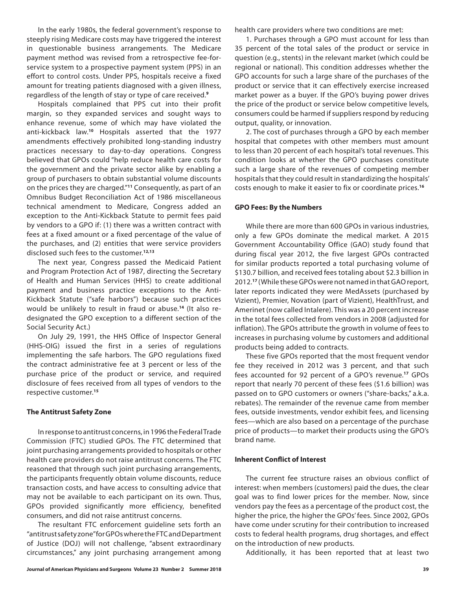In the early 1980s, the federal government's response to steeply rising Medicare costs may have triggered the interest in questionable business arrangements. The Medicare payment method was revised from a retrospective fee-forservice system to a prospective payment system (PPS) in an effort to control costs. Under PPS, hospitals receive a fixed amount for treating patients diagnosed with a given illness, regardless of the length of stay or type of care received.**<sup>9</sup>**

Hospitals complained that PPS cut into their profit margin, so they expanded services and sought ways to enhance revenue, some of which may have violated the anti-kickback law.**<sup>10</sup>** Hospitals asserted that the 1977 amendments effectively prohibited long-standing industry practices necessary to day-to-day operations. Congress believed that GPOs could "help reduce health care costs for the government and the private sector alike by enabling a group of purchasers to obtain substantial volume discounts on the prices they are charged."**<sup>11</sup>** Consequently, as part of an Omnibus Budget Reconciliation Act of 1986 miscellaneous technical amendment to Medicare, Congress added an exception to the Anti-Kickback Statute to permit fees paid by vendors to a GPO if: (1) there was a written contract with fees at a fixed amount or a fixed percentage of the value of the purchases, and (2) entities that were service providers disclosed such fees to the customer.**12,13**

The next year, Congress passed the Medicaid Patient and Program Protection Act of 1987, directing the Secretary of Health and Human Services (HHS) to create additional payment and business practice exceptions to the Anti-Kickback Statute ("safe harbors") because such practices would be unlikely to result in fraud or abuse.**14** (It also redesignated the GPO exception to a different section of the Social Security Act.)

On July 29, 1991, the HHS Office of Inspector General (HHS-OIG) issued the first in a series of regulations implementing the safe harbors. The GPO regulations fixed the contract administrative fee at 3 percent or less of the purchase price of the product or service, and required disclosure of fees received from all types of vendors to the respective customer.**<sup>15</sup>**

### **The Antitrust Safety Zone**

In response to antitrust concerns, in 1996 the Federal Trade Commission (FTC) studied GPOs. The FTC determined that joint purchasing arrangements provided to hospitals or other health care providers do not raise antitrust concerns. The FTC reasoned that through such joint purchasing arrangements, the participants frequently obtain volume discounts, reduce transaction costs, and have access to consulting advice that may not be available to each participant on its own. Thus, GPOs provided significantly more efficiency, benefited consumers, and did not raise antitrust concerns.

The resultant FTC enforcement guideline sets forth an "antitrust safety zone" for GPOs where the FTC and Department of Justice (DOJ) will not challenge, "absent extraordinary circumstances," any joint purchasing arrangement among health care providers where two conditions are met:

1. Purchases through a GPO must account for less than 35 percent of the total sales of the product or service in question (e.g., stents) in the relevant market (which could be regional or national). This condition addresses whether the GPO accounts for such a large share of the purchases of the product or service that it can effectively exercise increased market power as a buyer. If the GPO's buying power drives the price of the product or service below competitive levels, consumers could be harmed if suppliers respond by reducing output, quality, or innovation.

2. The cost of purchases through a GPO by each member hospital that competes with other members must amount to less than 20 percent of each hospital's total revenues. This condition looks at whether the GPO purchases constitute such a large share of the revenues of competing member hospitals that they could result in standardizing the hospitals' costs enough to make it easier to fix or coordinate prices.**<sup>16</sup>**

#### **GPO Fees: By the Numbers**

While there are more than 600 GPOs in various industries, only a few GPOs dominate the medical market. A 2015 Government Accountability Office (GAO) study found that during fiscal year 2012, the five largest GPOs contracted for similar products reported a total purchasing volume of \$130.7 billion, and received fees totaling about \$2.3 billion in 2012.**<sup>17</sup>** (While these GPOs were not named in that GAO report, later reports indicated they were MedAssets (purchased by Vizient), Premier, Novation (part of Vizient), HealthTrust, and Amerinet (now called Intalere). This was a 20 percent increase in the total fees collected from vendors in 2008 (adjusted for inflation). The GPOs attribute the growth in volume of fees to increases in purchasing volume by customers and additional products being added to contracts.

These five GPOs reported that the most frequent vendor fee they received in 2012 was 3 percent, and that such fees accounted for 92 percent of a GPO's revenue.**<sup>17</sup>** GPOs report that nearly 70 percent of these fees (\$1.6 billion) was passed on to GPO customers or owners ("share-backs," a.k.a. rebates). The remainder of the revenue came from member fees, outside investments, vendor exhibit fees, and licensing fees—which are also based on a percentage of the purchase price of products—to market their products using the GPO's brand name.

#### **Inherent Conflict of Interest**

The current fee structure raises an obvious conflict of interest: when members (customers) paid the dues, the clear goal was to find lower prices for the member. Now, since vendors pay the fees as a percentage of the product cost, the higher the price, the higher the GPOs' fees. Since 2002, GPOs have come under scrutiny for their contribution to increased costs to federal health programs, drug shortages, and effect on the introduction of new products.

Additionally, it has been reported that at least two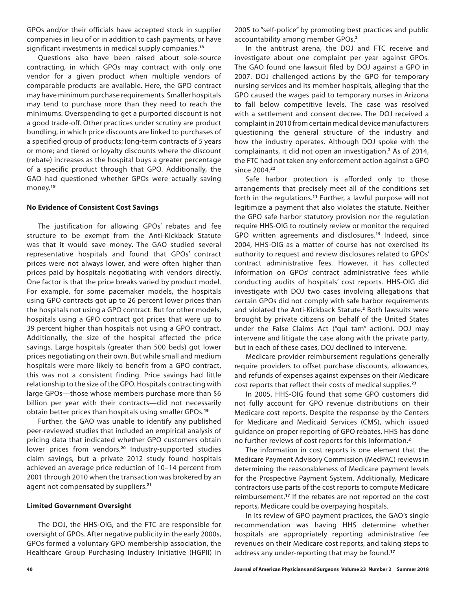GPOs and/or their officials have accepted stock in supplier companies in lieu of or in addition to cash payments, or have significant investments in medical supply companies.**<sup>18</sup>**

Questions also have been raised about sole-source contracting, in which GPOs may contract with only one vendor for a given product when multiple vendors of comparable products are available. Here, the GPO contract may have minimum purchase requirements. Smaller hospitals may tend to purchase more than they need to reach the minimums. Overspending to get a purported discount is not a good trade-off. Other practices under scrutiny are product bundling, in which price discounts are linked to purchases of a specified group of products; long-term contracts of 5 years or more; and tiered or loyalty discounts where the discount (rebate) increases as the hospital buys a greater percentage of a specific product through that GPO. Additionally, the GAO had questioned whether GPOs were actually saving money.**<sup>19</sup>**

### **No Evidence of Consistent Cost Savings**

The justification for allowing GPOs' rebates and fee structure to be exempt from the Anti-Kickback Statute was that it would save money. The GAO studied several representative hospitals and found that GPOs' contract prices were not always lower, and were often higher than prices paid by hospitals negotiating with vendors directly. One factor is that the price breaks varied by product model. For example, for some pacemaker models, the hospitals using GPO contracts got up to 26 percent lower prices than the hospitals not using a GPO contract. But for other models, hospitals using a GPO contract got prices that were up to 39 percent higher than hospitals not using a GPO contract. Additionally, the size of the hospital affected the price savings. Large hospitals (greater than 500 beds) got lower prices negotiating on their own. But while small and medium hospitals were more likely to benefit from a GPO contract, this was not a consistent finding. Price savings had little relationship to the size of the GPO. Hospitals contracting with large GPOs—those whose members purchase more than \$6 billion per year with their contracts—did not necessarily obtain better prices than hospitals using smaller GPOs.**<sup>19</sup>**

Further, the GAO was unable to identify any published peer-reviewed studies that included an empirical analysis of pricing data that indicated whether GPO customers obtain lower prices from vendors.**<sup>20</sup>** Industry-supported studies claim savings, but a private 2012 study found hospitals achieved an average price reduction of 10–14 percent from 2001 through 2010 when the transaction was brokered by an agent not compensated by suppliers.**<sup>21</sup>**

#### **Limited Government Oversight**

The DOJ, the HHS-OIG, and the FTC are responsible for oversight of GPOs. After negative publicity in the early 2000s, GPOs formed a voluntary GPO membership association, the Healthcare Group Purchasing Industry Initiative (HGPII) in

2005 to "self-police" by promoting best practices and public accountability among member GPOs.**<sup>2</sup>**

In the antitrust arena, the DOJ and FTC receive and investigate about one complaint per year against GPOs. The GAO found one lawsuit filed by DOJ against a GPO in 2007. DOJ challenged actions by the GPO for temporary nursing services and its member hospitals, alleging that the GPO caused the wages paid to temporary nurses in Arizona to fall below competitive levels. The case was resolved with a settlement and consent decree. The DOJ received a complaint in 2010 from certain medical device manufacturers questioning the general structure of the industry and how the industry operates. Although DOJ spoke with the complainants, it did not open an investigation.**<sup>2</sup>** As of 2014, the FTC had not taken any enforcement action against a GPO since 2004.**<sup>22</sup>**

Safe harbor protection is afforded only to those arrangements that precisely meet all of the conditions set forth in the regulations.**<sup>11</sup>** Further, a lawful purpose will not legitimize a payment that also violates the statute. Neither the GPO safe harbor statutory provision nor the regulation require HHS-OIG to routinely review or monitor the required GPO written agreements and disclosures.**<sup>15</sup>** Indeed, since 2004, HHS-OIG as a matter of course has not exercised its authority to request and review disclosures related to GPOs' contract administrative fees. However, it has collected information on GPOs' contract administrative fees while conducting audits of hospitals' cost reports. HHS-OIG did investigate with DOJ two cases involving allegations that certain GPOs did not comply with safe harbor requirements and violated the Anti-Kickback Statute.**<sup>2</sup>** Both lawsuits were brought by private citizens on behalf of the United States under the False Claims Act ("qui tam" action). DOJ may intervene and litigate the case along with the private party, but in each of these cases, DOJ declined to intervene.

Medicare provider reimbursement regulations generally require providers to offset purchase discounts, allowances, and refunds of expenses against expenses on their Medicare cost reports that reflect their costs of medical supplies.**<sup>23</sup>**

In 2005, HHS-OIG found that some GPO customers did not fully account for GPO revenue distributions on their Medicare cost reports. Despite the response by the Centers for Medicare and Medicaid Services (CMS), which issued guidance on proper reporting of GPO rebates, HHS has done no further reviews of cost reports for this information.**<sup>2</sup>**

The information in cost reports is one element that the Medicare Payment Advisory Commission (MedPAC) reviews in determining the reasonableness of Medicare payment levels for the Prospective Payment System. Additionally, Medicare contractors use parts of the cost reports to compute Medicare reimbursement.**<sup>17</sup>** If the rebates are not reported on the cost reports, Medicare could be overpaying hospitals.

In its review of GPO payment practices, the GAO's single recommendation was having HHS determine whether hospitals are appropriately reporting administrative fee revenues on their Medicare cost reports, and taking steps to address any under-reporting that may be found.**17**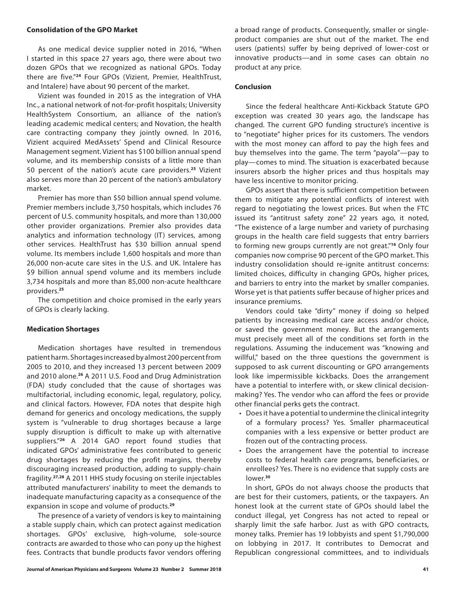## **Consolidation of the GPO Market**

As one medical device supplier noted in 2016, "When I started in this space 27 years ago, there were about two dozen GPOs that we recognized as national GPOs. Today there are five."**<sup>24</sup>** Four GPOs (Vizient, Premier, HealthTrust, and Intalere) have about 90 percent of the market.

Vizient was founded in 2015 as the integration of VHA Inc., a national network of not-for-profit hospitals; University HealthSystem Consortium, an alliance of the nation's leading academic medical centers; and Novation, the health care contracting company they jointly owned. In 2016, Vizient acquired MedAssets' Spend and Clinical Resource Management segment. Vizient has \$100 billion annual spend volume, and its membership consists of a little more than 50 percent of the nation's acute care providers.**<sup>25</sup>** Vizient also serves more than 20 percent of the nation's ambulatory market.

Premier has more than \$50 billion annual spend volume. Premier members include 3,750 hospitals, which includes 76 percent of U.S. community hospitals, and more than 130,000 other provider organizations. Premier also provides data analytics and information technology (IT) services, among other services. HealthTrust has \$30 billion annual spend volume. Its members include 1,600 hospitals and more than 26,000 non-acute care sites in the U.S. and UK. Intalere has \$9 billion annual spend volume and its members include 3,734 hospitals and more than 85,000 non-acute healthcare providers.**<sup>25</sup>**

The competition and choice promised in the early years of GPOs is clearly lacking.

### **Medication Shortages**

Medication shortages have resulted in tremendous patient harm. Shortages increased by almost 200 percent from 2005 to 2010, and they increased 13 percent between 2009 and 2010 alone.**<sup>26</sup>** A 2011 U.S. Food and Drug Administration (FDA) study concluded that the cause of shortages was multifactorial, including economic, legal, regulatory, policy, and clinical factors. However, FDA notes that despite high demand for generics and oncology medications, the supply system is "vulnerable to drug shortages because a large supply disruption is difficult to make up with alternative suppliers."**<sup>26</sup>** A 2014 GAO report found studies that indicated GPOs' administrative fees contributed to generic drug shortages by reducing the profit margins, thereby discouraging increased production, adding to supply-chain fragility.**27,28** A 2011 HHS study focusing on sterile injectables attributed manufacturers' inability to meet the demands to inadequate manufacturing capacity as a consequence of the expansion in scope and volume of products.**<sup>29</sup>**

The presence of a variety of vendors is key to maintaining a stable supply chain, which can protect against medication shortages. GPOs' exclusive, high-volume, sole-source contracts are awarded to those who can pony up the highest fees. Contracts that bundle products favor vendors offering a broad range of products. Consequently, smaller or singleproduct companies are shut out of the market. The end users (patients) suffer by being deprived of lower-cost or innovative products—and in some cases can obtain no product at any price.

# **Conclusion**

Since the federal healthcare Anti-Kickback Statute GPO exception was created 30 years ago, the landscape has changed. The current GPO funding structure's incentive is to "negotiate" higher prices for its customers. The vendors with the most money can afford to pay the high fees and buy themselves into the game. The term "payola"—pay to play—comes to mind. The situation is exacerbated because insurers absorb the higher prices and thus hospitals may have less incentive to monitor pricing.

GPOs assert that there is sufficient competition between them to mitigate any potential conflicts of interest with regard to negotiating the lowest prices. But when the FTC issued its "antitrust safety zone" 22 years ago, it noted, "The existence of a large number and variety of purchasing groups in the health care field suggests that entry barriers to forming new groups currently are not great."**<sup>16</sup>** Only four companies now comprise 90 percent of the GPO market. This industry consolidation should re-ignite antitrust concerns: limited choices, difficulty in changing GPOs, higher prices, and barriers to entry into the market by smaller companies. Worse yet is that patients suffer because of higher prices and insurance premiums.

Vendors could take "dirty" money if doing so helped patients by increasing medical care access and/or choice, or saved the government money. But the arrangements must precisely meet all of the conditions set forth in the regulations. Assuming the inducement was "knowing and willful," based on the three questions the government is supposed to ask current discounting or GPO arrangements look like impermissible kickbacks. Does the arrangement have a potential to interfere with, or skew clinical decisionmaking? Yes. The vendor who can afford the fees or provide other financial perks gets the contract.

- Does it have a potential to undermine the clinical integrity of a formulary process? Yes. Smaller pharmaceutical companies with a less expensive or better product are frozen out of the contracting process.
- Does the arrangement have the potential to increase costs to federal health care programs, beneficiaries, or enrollees? Yes. There is no evidence that supply costs are lower.**<sup>30</sup>**

In short, GPOs do not always choose the products that are best for their customers, patients, or the taxpayers. An honest look at the current state of GPOs should label the conduct illegal, yet Congress has not acted to repeal or sharply limit the safe harbor. Just as with GPO contracts, money talks. Premier has 19 lobbyists and spent \$1,790,000 on lobbying in 2017. It contributes to Democrat and Republican congressional committees, and to individuals